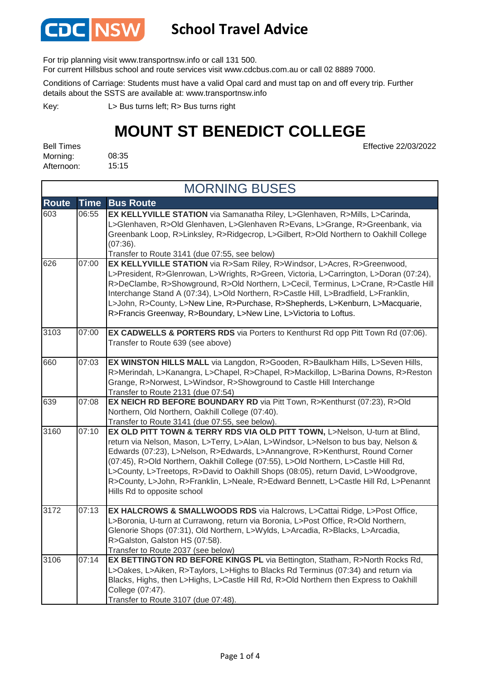

### **School Travel Advice**

For trip planning visit www.transportnsw.info or call 131 500.

For current Hillsbus school and route services visit www.cdcbus.com.au or call 02 8889 7000.

Conditions of Carriage: Students must have a valid Opal card and must tap on and off every trip. Further details about the SSTS are available at: www.transportnsw.info

L> Bus turns left; R> Bus turns right Key:

### **MOUNT ST BENEDICT COLLEGE**

Effective 22/03/2022

| <b>Bell Times</b> |       |
|-------------------|-------|
| Morning:          | 08:35 |
| Afternoon:        | 15:15 |

| <b>MORNING BUSES</b> |             |                                                                                                                                                                                                                                                                                                                                                                                                                                                                                                                                                        |
|----------------------|-------------|--------------------------------------------------------------------------------------------------------------------------------------------------------------------------------------------------------------------------------------------------------------------------------------------------------------------------------------------------------------------------------------------------------------------------------------------------------------------------------------------------------------------------------------------------------|
| <b>Route</b>         | <b>Time</b> | <b>Bus Route</b>                                                                                                                                                                                                                                                                                                                                                                                                                                                                                                                                       |
| 603                  | 06:55       | EX KELLYVILLE STATION via Samanatha Riley, L>Glenhaven, R>Mills, L>Carinda,<br>L>Glenhaven, R>Old Glenhaven, L>Glenhaven R>Evans, L>Grange, R>Greenbank, via<br>Greenbank Loop, R>Linksley, R>Ridgecrop, L>Gilbert, R>Old Northern to Oakhill College<br>(07:36).<br>Transfer to Route 3141 (due 07:55, see below)                                                                                                                                                                                                                                     |
| 626                  | 07:00       | EX KELLYVILLE STATION via R>Sam Riley, R>Windsor, L>Acres, R>Greenwood,<br>L>President, R>Glenrowan, L>Wrights, R>Green, Victoria, L>Carrington, L>Doran (07:24),<br>R>DeClambe, R>Showground, R>Old Northern, L>Cecil, Terminus, L>Crane, R>Castle Hill<br>Interchange Stand A (07:34), L>Old Northern, R>Castle Hill, L>Bradfield, L>Franklin,<br>L>John, R>County, L>New Line, R>Purchase, R>Shepherds, L>Kenburn, L>Macquarie,<br>R>Francis Greenway, R>Boundary, L>New Line, L>Victoria to Loftus.                                                |
| 3103                 | 07:00       | <b>EX CADWELLS &amp; PORTERS RDS</b> via Porters to Kenthurst Rd opp Pitt Town Rd (07:06).<br>Transfer to Route 639 (see above)                                                                                                                                                                                                                                                                                                                                                                                                                        |
| 660                  | 07:03       | EX WINSTON HILLS MALL via Langdon, R>Gooden, R>Baulkham Hills, L>Seven Hills,<br>R>Merindah, L>Kanangra, L>Chapel, R>Chapel, R>Mackillop, L>Barina Downs, R>Reston<br>Grange, R>Norwest, L>Windsor, R>Showground to Castle Hill Interchange<br>Transfer to Route 2131 (due 07:54)                                                                                                                                                                                                                                                                      |
| 639                  | 07:08       | EX NEICH RD BEFORE BOUNDARY RD via Pitt Town, R>Kenthurst (07:23), R>Old<br>Northern, Old Northern, Oakhill College (07:40).<br>Transfer to Route 3141 (due 07:55, see below).                                                                                                                                                                                                                                                                                                                                                                         |
| 3160                 | 07:10       | EX OLD PITT TOWN & TERRY RDS VIA OLD PITT TOWN, L>Nelson, U-turn at Blind,<br>return via Nelson, Mason, L>Terry, L>Alan, L>Windsor, L>Nelson to bus bay, Nelson &<br>Edwards (07:23), L>Nelson, R>Edwards, L>Annangrove, R>Kenthurst, Round Corner<br>(07:45), R>Old Northern, Oakhill College (07:55), L>Old Northern, L>Castle Hill Rd,<br>L>County, L>Treetops, R>David to Oakhill Shops (08:05), return David, L>Woodgrove,<br>R>County, L>John, R>Franklin, L>Neale, R>Edward Bennett, L>Castle Hill Rd, L>Penannt<br>Hills Rd to opposite school |
| 3172                 | 07:13       | EX HALCROWS & SMALLWOODS RDS via Halcrows, L>Cattai Ridge, L>Post Office,<br>L>Boronia, U-turn at Currawong, return via Boronia, L>Post Office, R>Old Northern,<br>Glenorie Shops (07:31), Old Northern, L>Wylds, L>Arcadia, R>Blacks, L>Arcadia,<br>R>Galston, Galston HS (07:58).<br>Transfer to Route 2037 (see below)                                                                                                                                                                                                                              |
| 3106                 | 07:14       | EX BETTINGTON RD BEFORE KINGS PL via Bettington, Statham, R>North Rocks Rd,<br>L>Oakes, L>Aiken, R>Taylors, L>Highs to Blacks Rd Terminus (07:34) and return via<br>Blacks, Highs, then L>Highs, L>Castle Hill Rd, R>Old Northern then Express to Oakhill<br>College (07:47).<br>Transfer to Route 3107 (due 07:48)                                                                                                                                                                                                                                    |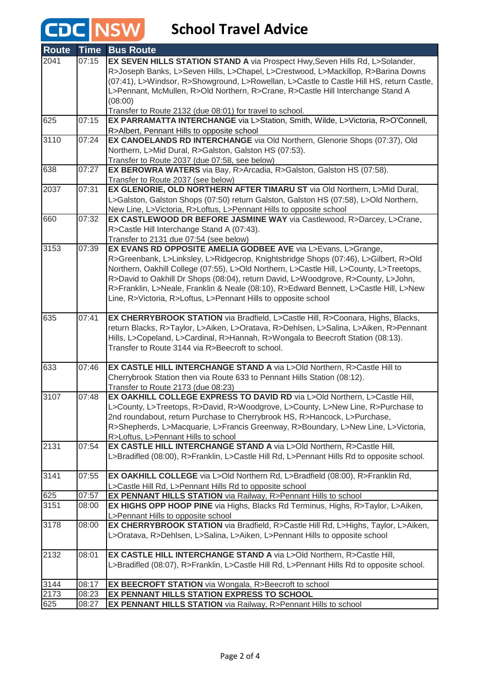## **CDC** NSW School Travel Advice

| <b>Route</b> | <b>Time</b>    | <b>Bus Route</b>                                                                                                      |
|--------------|----------------|-----------------------------------------------------------------------------------------------------------------------|
| 2041         | 07:15          | EX SEVEN HILLS STATION STAND A via Prospect Hwy, Seven Hills Rd, L>Solander,                                          |
|              |                | R>Joseph Banks, L>Seven Hills, L>Chapel, L>Crestwood, L>Mackillop, R>Barina Downs                                     |
|              |                | (07:41), L>Windsor, R>Showground, L>Rowellan, L>Castle to Castle Hill HS, return Castle,                              |
|              |                | L>Pennant, McMullen, R>Old Northern, R>Crane, R>Castle Hill Interchange Stand A                                       |
|              |                | (08:00)                                                                                                               |
|              |                | Transfer to Route 2132 (due 08:01) for travel to school.                                                              |
| 625          | 07:15          | EX PARRAMATTA INTERCHANGE via L>Station, Smith, Wilde, L>Victoria, R>O'Connell,                                       |
|              |                | R>Albert, Pennant Hills to opposite school                                                                            |
| 3110         | 07:24          | EX CANOELANDS RD INTERCHANGE via Old Northern, Glenorie Shops (07:37), Old                                            |
|              |                | Northern, L>Mid Dural, R>Galston, Galston HS (07:53).                                                                 |
| 638          | 07:27          | Transfer to Route 2037 (due 07:58, see below)<br>EX BEROWRA WATERS via Bay, R>Arcadia, R>Galston, Galston HS (07:58). |
|              |                | Transfer to Route 2037 (see below)                                                                                    |
| 2037         | 07:31          | EX GLENORIE, OLD NORTHERN AFTER TIMARU ST via Old Northern, L>Mid Dural,                                              |
|              |                | L>Galston, Galston Shops (07:50) return Galston, Galston HS (07:58), L>Old Northern,                                  |
|              |                | New Line, L>Victoria, R>Loftus, L>Pennant Hills to opposite school                                                    |
| 660          | 07:32          | EX CASTLEWOOD DR BEFORE JASMINE WAY via Castlewood, R>Darcey, L>Crane,                                                |
|              |                | R>Castle Hill Interchange Stand A (07:43).                                                                            |
|              |                | Transfer to 2131 due 07:54 (see below)                                                                                |
| 3153         | 07:39          | EX EVANS RD OPPOSITE AMELIA GODBEE AVE via L>Evans, L>Grange,                                                         |
|              |                | R>Greenbank, L>Linksley, L>Ridgecrop, Knightsbridge Shops (07:46), L>Gilbert, R>Old                                   |
|              |                | Northern, Oakhill College (07:55), L>Old Northern, L>Castle Hill, L>County, L>Treetops,                               |
|              |                | R>David to Oakhill Dr Shops (08:04), return David, L>Woodgrove, R>County, L>John,                                     |
|              |                | R>Franklin, L>Neale, Franklin & Neale (08:10), R>Edward Bennett, L>Castle Hill, L>New                                 |
|              |                | Line, R>Victoria, R>Loftus, L>Pennant Hills to opposite school                                                        |
|              |                |                                                                                                                       |
| 635          | 07:41          | EX CHERRYBROOK STATION via Bradfield, L>Castle Hill, R>Coonara, Highs, Blacks,                                        |
|              |                | return Blacks, R>Taylor, L>Aiken, L>Oratava, R>Dehlsen, L>Salina, L>Aiken, R>Pennant                                  |
|              |                | Hills, L>Copeland, L>Cardinal, R>Hannah, R>Wongala to Beecroft Station (08:13).                                       |
|              |                | Transfer to Route 3144 via R>Beecroft to school.                                                                      |
| 633          | 07:46          | EX CASTLE HILL INTERCHANGE STAND A via L>Old Northern, R>Castle Hill to                                               |
|              |                | Cherrybrook Station then via Route 633 to Pennant Hills Station (08:12).                                              |
|              |                | Transfer to Route 2173 (due 08:23)                                                                                    |
| 3107         | 07:48          | EX OAKHILL COLLEGE EXPRESS TO DAVID RD via L>Old Northern, L>Castle Hill,                                             |
|              |                | L>County, L>Treetops, R>David, R>Woodgrove, L>County, L>New Line, R>Purchase to                                       |
|              |                | 2nd roundabout, return Purchase to Cherrybrook HS, R>Hancock, L>Purchase,                                             |
|              |                | R>Shepherds, L>Macquarie, L>Francis Greenway, R>Boundary, L>New Line, L>Victoria,                                     |
|              |                | R>Loftus, L>Pennant Hills to school                                                                                   |
| 2131         | 07:54          | EX CASTLE HILL INTERCHANGE STAND A via L>Old Northern, R>Castle Hill,                                                 |
|              |                | L>Bradifled (08:00), R>Franklin, L>Castle Hill Rd, L>Pennant Hills Rd to opposite school.                             |
|              |                |                                                                                                                       |
| 3141         | 07:55          | EX OAKHILL COLLEGE via L>Old Northern Rd, L>Bradfield (08:00), R>Franklin Rd,                                         |
|              |                | L>Castle Hill Rd, L>Pennant Hills Rd to opposite school                                                               |
| 625<br>3151  | 07:57<br>08:00 | EX PENNANT HILLS STATION via Railway, R>Pennant Hills to school                                                       |
|              |                | EX HIGHS OPP HOOP PINE via Highs, Blacks Rd Terminus, Highs, R>Taylor, L>Aiken,<br>L>Pennant Hills to opposite school |
| 3178         | 08:00          | EX CHERRYBROOK STATION via Bradfield, R>Castle Hill Rd, L>Highs, Taylor, L>Aiken,                                     |
|              |                | L>Oratava, R>Dehlsen, L>Salina, L>Aiken, L>Pennant Hills to opposite school                                           |
|              |                |                                                                                                                       |
| 2132         | 08:01          | EX CASTLE HILL INTERCHANGE STAND A via L>Old Northern, R>Castle Hill,                                                 |
|              |                | L>Bradifled (08:07), R>Franklin, L>Castle Hill Rd, L>Pennant Hills Rd to opposite school.                             |
|              |                |                                                                                                                       |
| 3144         | 08:17          | <b>EX BEECROFT STATION</b> via Wongala, R>Beecroft to school                                                          |
| 2173         | 08:23          | EX PENNANT HILLS STATION EXPRESS TO SCHOOL                                                                            |
| 625          | 08:27          | <b>EX PENNANT HILLS STATION</b> via Railway, R>Pennant Hills to school                                                |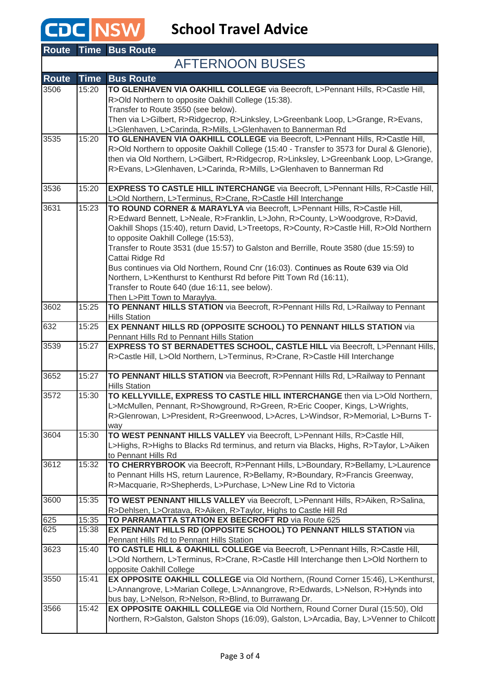## **CDC** NSW School Travel Advice

|              |             | <b>Route Time Bus Route</b>                                                                                                 |
|--------------|-------------|-----------------------------------------------------------------------------------------------------------------------------|
|              |             | <b>AFTERNOON BUSES</b>                                                                                                      |
| <b>Route</b> | <b>Time</b> | <b>Bus Route</b>                                                                                                            |
| 3506         | 15:20       | TO GLENHAVEN VIA OAKHILL COLLEGE via Beecroft, L>Pennant Hills, R>Castle Hill,                                              |
|              |             | R>Old Northern to opposite Oakhill College (15:38).                                                                         |
|              |             | Transfer to Route 3550 (see below).                                                                                         |
|              |             | Then via L>Gilbert, R>Ridgecrop, R>Linksley, L>Greenbank Loop, L>Grange, R>Evans,                                           |
|              |             | L>Glenhaven, L>Carinda, R>Mills, L>Glenhaven to Bannerman Rd                                                                |
| 3535         | 15:20       | TO GLENHAVEN VIA OAKHILL COLLEGE via Beecroft, L>Pennant Hills, R>Castle Hill,                                              |
|              |             | R>Old Northern to opposite Oakhill College (15:40 - Transfer to 3573 for Dural & Glenorie),                                 |
|              |             | then via Old Northern, L>Gilbert, R>Ridgecrop, R>Linksley, L>Greenbank Loop, L>Grange,                                      |
|              |             | R>Evans, L>Glenhaven, L>Carinda, R>Mills, L>Glenhaven to Bannerman Rd                                                       |
| 3536         | 15:20       | EXPRESS TO CASTLE HILL INTERCHANGE via Beecroft, L>Pennant Hills, R>Castle Hill,                                            |
|              |             | L>Old Northern, L>Terminus, R>Crane, R>Castle Hill Interchange                                                              |
| 3631         | 15:23       | TO ROUND CORNER & MARAYLYA via Beecroft, L>Pennant Hills, R>Castle Hill,                                                    |
|              |             | R>Edward Bennett, L>Neale, R>Franklin, L>John, R>County, L>Woodgrove, R>David,                                              |
|              |             | Oakhill Shops (15:40), return David, L>Treetops, R>County, R>Castle Hill, R>Old Northern                                    |
|              |             | to opposite Oakhill College (15:53),                                                                                        |
|              |             | Transfer to Route 3531 (due 15:57) to Galston and Berrille, Route 3580 (due 15:59) to                                       |
|              |             | Cattai Ridge Rd                                                                                                             |
|              |             | Bus continues via Old Northern, Round Cnr (16:03). Continues as Route 639 via Old                                           |
|              |             | Northern, L>Kenthurst to Kenthurst Rd before Pitt Town Rd (16:11),                                                          |
|              |             | Transfer to Route 640 (due 16:11, see below).                                                                               |
| 3602         | 15:25       | Then L>Pitt Town to Maraylya.<br>TO PENNANT HILLS STATION via Beecroft, R>Pennant Hills Rd, L>Railway to Pennant            |
|              |             | <b>Hills Station</b>                                                                                                        |
| 632          | 15:25       | EX PENNANT HILLS RD (OPPOSITE SCHOOL) TO PENNANT HILLS STATION via                                                          |
|              |             | Pennant Hills Rd to Pennant Hills Station                                                                                   |
| 3539         | 15:27       | <b>EXPRESS TO ST BERNADETTES SCHOOL, CASTLE HILL via Beecroft, L&gt;Pennant Hills,</b>                                      |
|              |             | R>Castle Hill, L>Old Northern, L>Terminus, R>Crane, R>Castle Hill Interchange                                               |
|              |             |                                                                                                                             |
| 3652         | 15:27       | TO PENNANT HILLS STATION via Beecroft, R>Pennant Hills Rd, L>Railway to Pennant<br><b>Hills Station</b>                     |
| 3572         | 15:30       | TO KELLYVILLE, EXPRESS TO CASTLE HILL INTERCHANGE then via L>Old Northern,                                                  |
|              |             | L>McMullen, Pennant, R>Showground, R>Green, R>Eric Cooper, Kings, L>Wrights,                                                |
|              |             | R>Glenrowan, L>President, R>Greenwood, L>Acres, L>Windsor, R>Memorial, L>Burns T-                                           |
|              |             | way                                                                                                                         |
| 3604         | 15:30       | TO WEST PENNANT HILLS VALLEY via Beecroft, L>Pennant Hills, R>Castle Hill,                                                  |
|              |             | L>Highs, R>Highs to Blacks Rd terminus, and return via Blacks, Highs, R>Taylor, L>Aiken                                     |
|              |             | to Pennant Hills Rd                                                                                                         |
| 3612         | 15:32       | TO CHERRYBROOK via Beecroft, R>Pennant Hills, L>Boundary, R>Bellamy, L>Laurence                                             |
|              |             | to Pennant Hills HS, return Laurence, R>Bellamy, R>Boundary, R>Francis Greenway,                                            |
|              |             | R>Macquarie, R>Shepherds, L>Purchase, L>New Line Rd to Victoria                                                             |
| 3600         | 15:35       | TO WEST PENNANT HILLS VALLEY via Beecroft, L>Pennant Hills, R>Aiken, R>Salina,                                              |
|              |             | R>Dehlsen, L>Oratava, R>Aiken, R>Taylor, Highs to Castle Hill Rd                                                            |
| 625          | 15:35       | TO PARRAMATTA STATION EX BEECROFT RD via Route 625                                                                          |
| 625          | 15:38       | EX PENNANT HILLS RD (OPPOSITE SCHOOL) TO PENNANT HILLS STATION via                                                          |
| 3623         | 15:40       | Pennant Hills Rd to Pennant Hills Station<br>TO CASTLE HILL & OAKHILL COLLEGE via Beecroft, L>Pennant Hills, R>Castle Hill, |
|              |             | L>Old Northern, L>Terminus, R>Crane, R>Castle Hill Interchange then L>Old Northern to                                       |
|              |             | opposite Oakhill College                                                                                                    |
| 3550         | 15:41       | EX OPPOSITE OAKHILL COLLEGE via Old Northern, (Round Corner 15:46), L>Kenthurst,                                            |
|              |             | L>Annangrove, L>Marian College, L>Annangrove, R>Edwards, L>Nelson, R>Hynds into                                             |
|              |             | bus bay, L>Nelson, R>Nelson, R>Blind, to Burrawang Dr.                                                                      |
| 3566         | 15:42       | EX OPPOSITE OAKHILL COLLEGE via Old Northern, Round Corner Dural (15:50), Old                                               |
|              |             | Northern, R>Galston, Galston Shops (16:09), Galston, L>Arcadia, Bay, L>Venner to Chilcott                                   |
|              |             |                                                                                                                             |